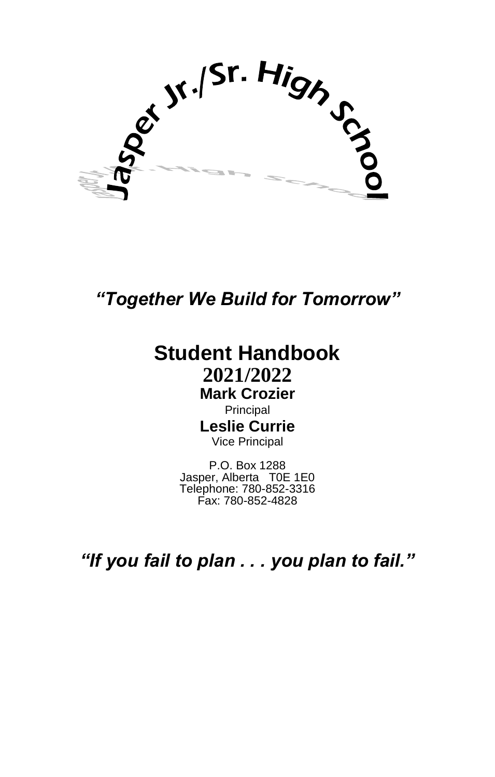oct Jr. /Sr. High of

*"Together We Build for Tomorrow"*

## **Student Handbook 2021/2022 Mark Crozier**

Principal **Leslie Currie** Vice Principal

P.O. Box 1288 Jasper, Alberta T0E 1E0 Telephone: 780-852-3316 Fax: 780-852-4828

*"If you fail to plan . . . you plan to fail."*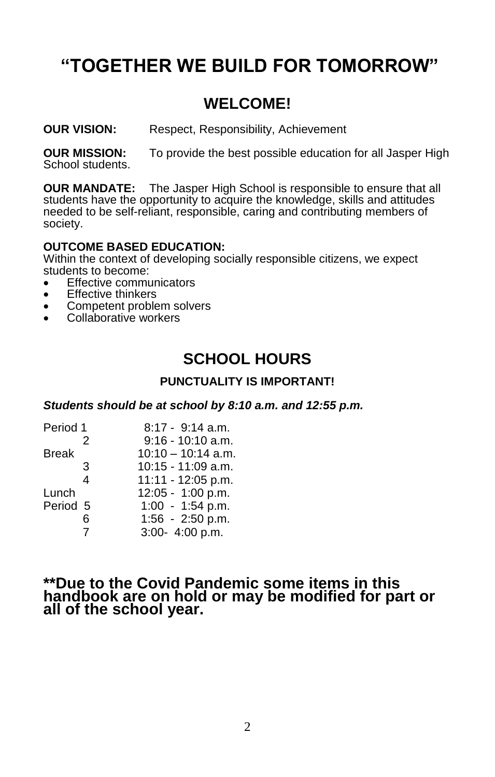# **"TOGETHER WE BUILD FOR TOMORROW"**

## **WELCOME!**

**OUR VISION:** Respect, Responsibility, Achievement

**OUR MISSION:** To provide the best possible education for all Jasper High School students.

**OUR MANDATE:** The Jasper High School is responsible to ensure that all students have the opportunity to acquire the knowledge, skills and attitudes needed to be self-reliant, responsible, caring and contributing members of society.

#### **OUTCOME BASED EDUCATION:**

Within the context of developing socially responsible citizens, we expect students to become:

- **Effective communicators**
- **Effective thinkers**
- Competent problem solvers
- Collaborative workers

## **SCHOOL HOURS**

#### **PUNCTUALITY IS IMPORTANT!**

*Students should be at school by 8:10 a.m. and 12:55 p.m.*

| Period 1 | $8:17 - 9:14$ a.m.   |
|----------|----------------------|
| 2        | $9:16 - 10:10$ a.m.  |
|          | $10:10 - 10:14$ a.m. |
| 3        | 10:15 - 11:09 a.m.   |
| 4        | 11:11 - 12:05 p.m.   |
|          | $12:05 - 1:00$ p.m.  |
| Period 5 | 1:00 - 1:54 p.m.     |
| հ        | 1:56 - 2:50 p.m.     |
| 7        | 3:00- 4:00 p.m.      |
|          |                      |

#### **\*\*Due to the Covid Pandemic some items in this handbook are on hold or may be modified for part or all of the school year.**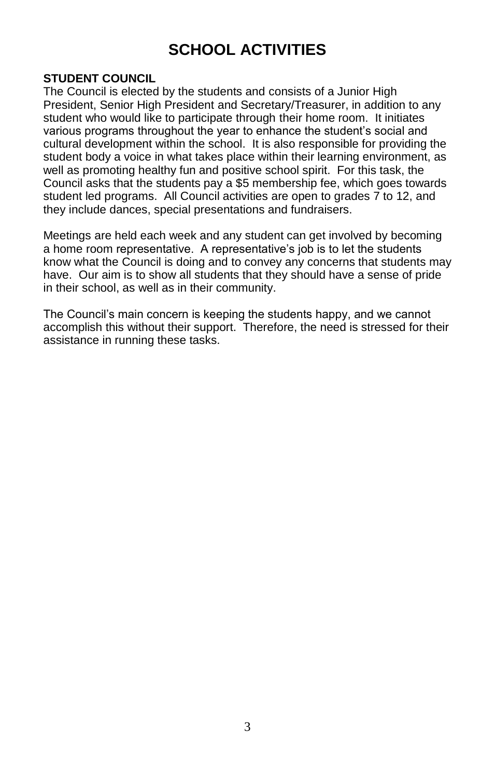## **SCHOOL ACTIVITIES**

#### **STUDENT COUNCIL**

The Council is elected by the students and consists of a Junior High President, Senior High President and Secretary/Treasurer, in addition to any student who would like to participate through their home room. It initiates various programs throughout the year to enhance the student's social and cultural development within the school. It is also responsible for providing the student body a voice in what takes place within their learning environment, as well as promoting healthy fun and positive school spirit. For this task, the Council asks that the students pay a \$5 membership fee, which goes towards student led programs. All Council activities are open to grades 7 to 12, and they include dances, special presentations and fundraisers.

Meetings are held each week and any student can get involved by becoming a home room representative. A representative's job is to let the students know what the Council is doing and to convey any concerns that students may have. Our aim is to show all students that they should have a sense of pride in their school, as well as in their community.

The Council's main concern is keeping the students happy, and we cannot accomplish this without their support. Therefore, the need is stressed for their assistance in running these tasks.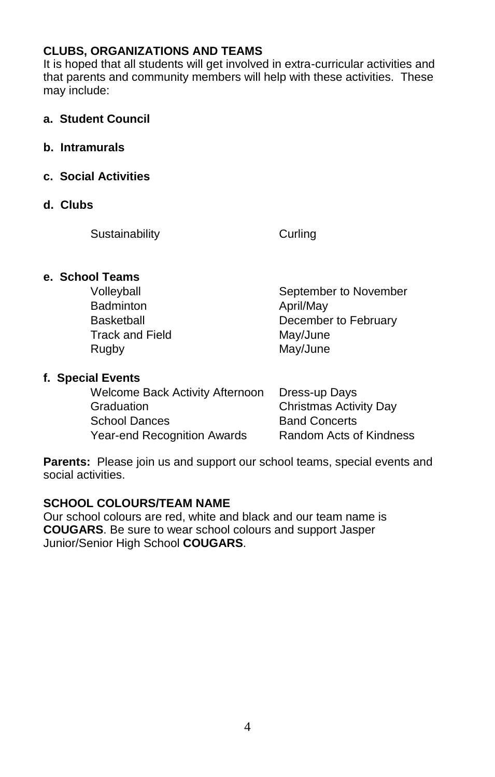## **CLUBS, ORGANIZATIONS AND TEAMS**

It is hoped that all students will get involved in extra-curricular activities and that parents and community members will help with these activities. These may include:

- **a. Student Council**
- **b. Intramurals**
- **c. Social Activities**
- **d. Clubs**

Sustainability Curling

#### **e. School Teams**

| September to November |
|-----------------------|
| April/May             |
| December to February  |
| May/June              |
| May/June              |
|                       |

#### **f. Special Events**

| Welcome Back Activity Afternoon | Dress-up Days           |
|---------------------------------|-------------------------|
| Graduation                      | Christmas Activity Day  |
| School Dances                   | <b>Band Concerts</b>    |
| Year-end Recognition Awards     | Random Acts of Kindness |

**Parents:** Please join us and support our school teams, special events and social activities.

#### **SCHOOL COLOURS/TEAM NAME**

Our school colours are red, white and black and our team name is **COUGARS**. Be sure to wear school colours and support Jasper Junior/Senior High School **COUGARS**.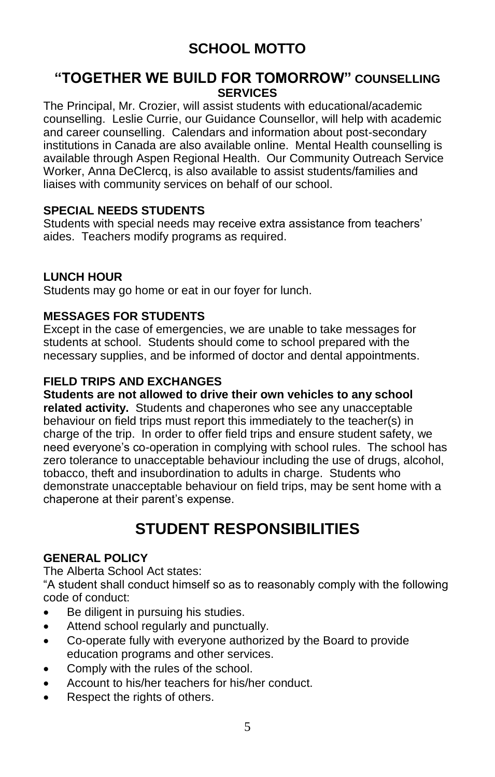## **SCHOOL MOTTO**

### **"TOGETHER WE BUILD FOR TOMORROW" COUNSELLING SERVICES**

The Principal, Mr. Crozier, will assist students with educational/academic counselling. Leslie Currie, our Guidance Counsellor, will help with academic and career counselling. Calendars and information about post-secondary institutions in Canada are also available online. Mental Health counselling is available through Aspen Regional Health. Our Community Outreach Service Worker, Anna DeClercq, is also available to assist students/families and liaises with community services on behalf of our school.

#### **SPECIAL NEEDS STUDENTS**

Students with special needs may receive extra assistance from teachers' aides. Teachers modify programs as required.

#### **LUNCH HOUR**

Students may go home or eat in our foyer for lunch.

#### **MESSAGES FOR STUDENTS**

Except in the case of emergencies, we are unable to take messages for students at school. Students should come to school prepared with the necessary supplies, and be informed of doctor and dental appointments.

### **FIELD TRIPS AND EXCHANGES**

**Students are not allowed to drive their own vehicles to any school related activity.** Students and chaperones who see any unacceptable behaviour on field trips must report this immediately to the teacher(s) in charge of the trip. In order to offer field trips and ensure student safety, we need everyone's co-operation in complying with school rules. The school has zero tolerance to unacceptable behaviour including the use of drugs, alcohol, tobacco, theft and insubordination to adults in charge. Students who demonstrate unacceptable behaviour on field trips, may be sent home with a chaperone at their parent's expense.

## **STUDENT RESPONSIBILITIES**

#### **GENERAL POLICY**

The Alberta School Act states:

"A student shall conduct himself so as to reasonably comply with the following code of conduct:

- Be diligent in pursuing his studies.
- Attend school regularly and punctually.
- Co-operate fully with everyone authorized by the Board to provide education programs and other services.
- Comply with the rules of the school.
- Account to his/her teachers for his/her conduct.
- Respect the rights of others.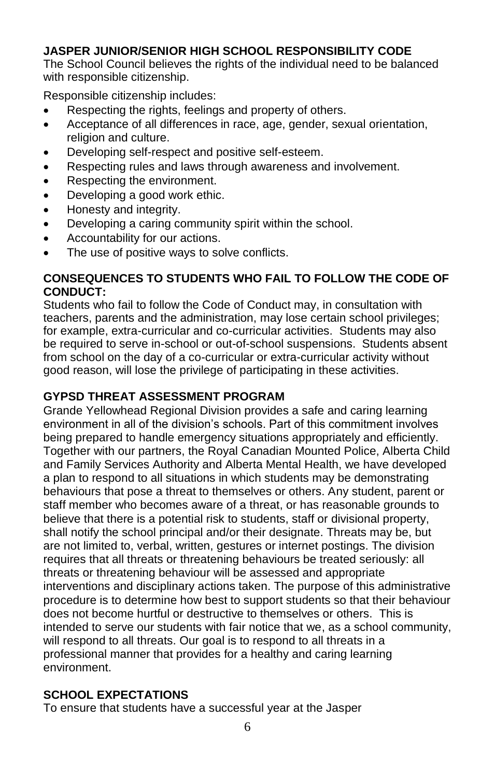### **JASPER JUNIOR/SENIOR HIGH SCHOOL RESPONSIBILITY CODE**

The School Council believes the rights of the individual need to be balanced with responsible citizenship.

Responsible citizenship includes:

- Respecting the rights, feelings and property of others.
- Acceptance of all differences in race, age, gender, sexual orientation, religion and culture.
- Developing self-respect and positive self-esteem.
- Respecting rules and laws through awareness and involvement.
- Respecting the environment.
- Developing a good work ethic.
- Honesty and integrity.
- Developing a caring community spirit within the school.
- Accountability for our actions.
- The use of positive ways to solve conflicts.

#### **CONSEQUENCES TO STUDENTS WHO FAIL TO FOLLOW THE CODE OF CONDUCT:**

Students who fail to follow the Code of Conduct may, in consultation with teachers, parents and the administration, may lose certain school privileges; for example, extra-curricular and co-curricular activities. Students may also be required to serve in-school or out-of-school suspensions. Students absent from school on the day of a co-curricular or extra-curricular activity without good reason, will lose the privilege of participating in these activities.

#### **GYPSD THREAT ASSESSMENT PROGRAM**

Grande Yellowhead Regional Division provides a safe and caring learning environment in all of the division's schools. Part of this commitment involves being prepared to handle emergency situations appropriately and efficiently. Together with our partners, the Royal Canadian Mounted Police, Alberta Child and Family Services Authority and Alberta Mental Health, we have developed a plan to respond to all situations in which students may be demonstrating behaviours that pose a threat to themselves or others. Any student, parent or staff member who becomes aware of a threat, or has reasonable grounds to believe that there is a potential risk to students, staff or divisional property, shall notify the school principal and/or their designate. Threats may be, but are not limited to, verbal, written, gestures or internet postings. The division requires that all threats or threatening behaviours be treated seriously: all threats or threatening behaviour will be assessed and appropriate interventions and disciplinary actions taken. The purpose of this administrative procedure is to determine how best to support students so that their behaviour does not become hurtful or destructive to themselves or others. This is intended to serve our students with fair notice that we, as a school community, will respond to all threats. Our goal is to respond to all threats in a professional manner that provides for a healthy and caring learning environment.

## **SCHOOL EXPECTATIONS**

To ensure that students have a successful year at the Jasper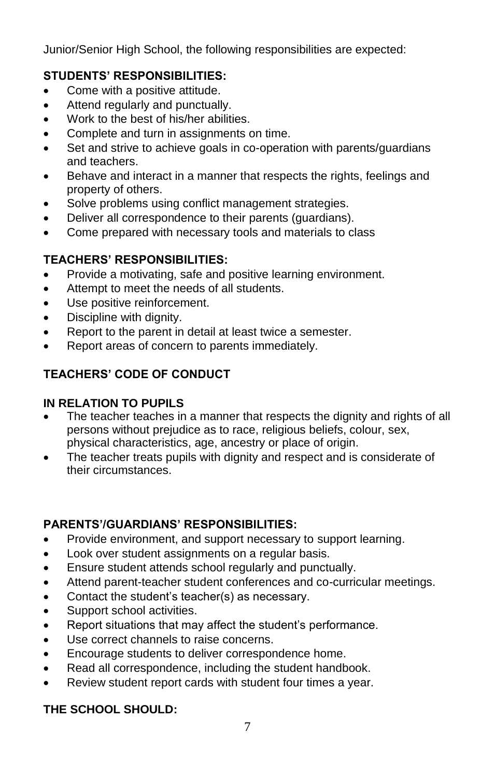Junior/Senior High School, the following responsibilities are expected:

## **STUDENTS' RESPONSIBILITIES:**

- Come with a positive attitude.
- Attend regularly and punctually.
- Work to the best of his/her abilities.
- Complete and turn in assignments on time.
- Set and strive to achieve goals in co-operation with parents/guardians and teachers.
- Behave and interact in a manner that respects the rights, feelings and property of others.
- Solve problems using conflict management strategies.
- Deliver all correspondence to their parents (guardians).
- Come prepared with necessary tools and materials to class

## **TEACHERS' RESPONSIBILITIES:**

- Provide a motivating, safe and positive learning environment.
- Attempt to meet the needs of all students.
- Use positive reinforcement.
- Discipline with dignity.
- Report to the parent in detail at least twice a semester.
- Report areas of concern to parents immediately.

## **TEACHERS' CODE OF CONDUCT**

## **IN RELATION TO PUPILS**

- The teacher teaches in a manner that respects the dignity and rights of all persons without prejudice as to race, religious beliefs, colour, sex, physical characteristics, age, ancestry or place of origin.
- The teacher treats pupils with dignity and respect and is considerate of their circumstances.

## **PARENTS'/GUARDIANS' RESPONSIBILITIES:**

- Provide environment, and support necessary to support learning.
- Look over student assignments on a regular basis.
- Ensure student attends school regularly and punctually.
- Attend parent-teacher student conferences and co-curricular meetings.
- Contact the student's teacher(s) as necessary.
- Support school activities.
- Report situations that may affect the student's performance.
- Use correct channels to raise concerns.
- Encourage students to deliver correspondence home.
- Read all correspondence, including the student handbook.
- Review student report cards with student four times a year.

## **THE SCHOOL SHOULD:**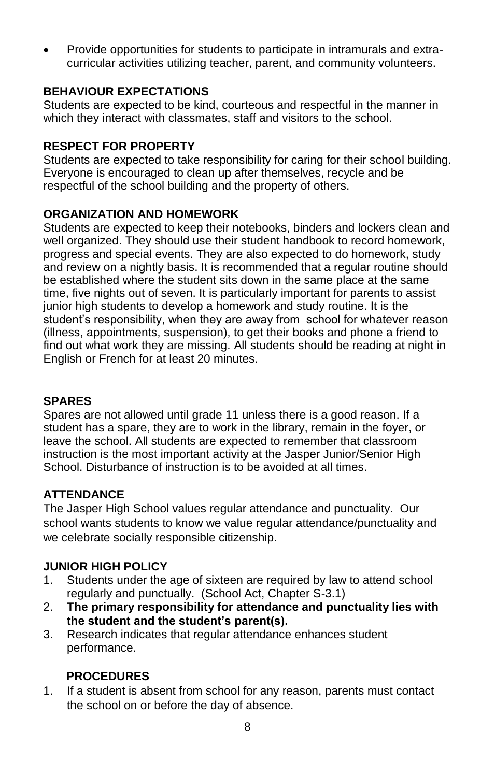• Provide opportunities for students to participate in intramurals and extracurricular activities utilizing teacher, parent, and community volunteers.

#### **BEHAVIOUR EXPECTATIONS**

Students are expected to be kind, courteous and respectful in the manner in which they interact with classmates, staff and visitors to the school.

#### **RESPECT FOR PROPERTY**

Students are expected to take responsibility for caring for their school building. Everyone is encouraged to clean up after themselves, recycle and be respectful of the school building and the property of others.

#### **ORGANIZATION AND HOMEWORK**

Students are expected to keep their notebooks, binders and lockers clean and well organized. They should use their student handbook to record homework, progress and special events. They are also expected to do homework, study and review on a nightly basis. It is recommended that a regular routine should be established where the student sits down in the same place at the same time, five nights out of seven. It is particularly important for parents to assist junior high students to develop a homework and study routine. It is the student's responsibility, when they are away from school for whatever reason (illness, appointments, suspension), to get their books and phone a friend to find out what work they are missing. All students should be reading at night in English or French for at least 20 minutes.

#### **SPARES**

Spares are not allowed until grade 11 unless there is a good reason. If a student has a spare, they are to work in the library, remain in the foyer, or leave the school. All students are expected to remember that classroom instruction is the most important activity at the Jasper Junior/Senior High School. Disturbance of instruction is to be avoided at all times.

#### **ATTENDANCE**

The Jasper High School values regular attendance and punctuality. Our school wants students to know we value regular attendance/punctuality and we celebrate socially responsible citizenship.

#### **JUNIOR HIGH POLICY**

- 1. Students under the age of sixteen are required by law to attend school regularly and punctually. (School Act, Chapter S-3.1)
- 2. **The primary responsibility for attendance and punctuality lies with the student and the student's parent(s).**
- 3. Research indicates that regular attendance enhances student performance.

#### **PROCEDURES**

1. If a student is absent from school for any reason, parents must contact the school on or before the day of absence.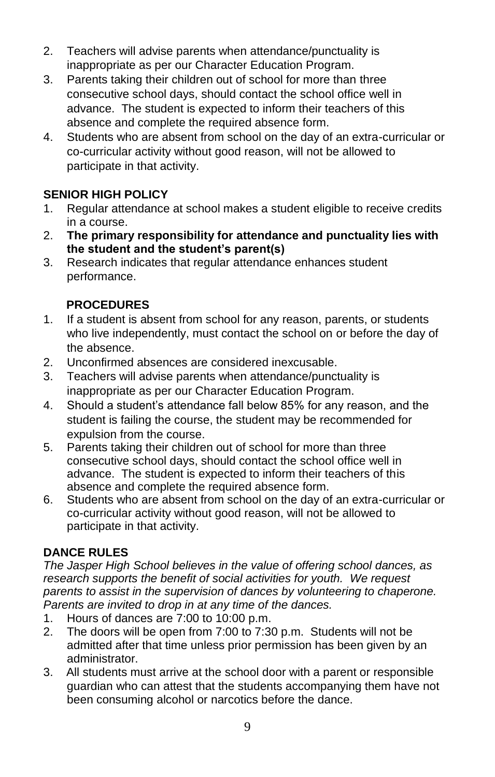- 2. Teachers will advise parents when attendance/punctuality is inappropriate as per our Character Education Program.
- 3. Parents taking their children out of school for more than three consecutive school days, should contact the school office well in advance. The student is expected to inform their teachers of this absence and complete the required absence form.
- 4. Students who are absent from school on the day of an extra-curricular or co-curricular activity without good reason, will not be allowed to participate in that activity.

## **SENIOR HIGH POLICY**

- 1. Regular attendance at school makes a student eligible to receive credits in a course.
- 2. **The primary responsibility for attendance and punctuality lies with the student and the student's parent(s)**
- 3. Research indicates that regular attendance enhances student performance.

## **PROCEDURES**

- 1. If a student is absent from school for any reason, parents, or students who live independently, must contact the school on or before the day of the absence.
- 2. Unconfirmed absences are considered inexcusable.
- 3. Teachers will advise parents when attendance/punctuality is inappropriate as per our Character Education Program.
- 4. Should a student's attendance fall below 85% for any reason, and the student is failing the course, the student may be recommended for expulsion from the course.
- 5. Parents taking their children out of school for more than three consecutive school days, should contact the school office well in advance. The student is expected to inform their teachers of this absence and complete the required absence form.
- 6. Students who are absent from school on the day of an extra-curricular or co-curricular activity without good reason, will not be allowed to participate in that activity.

## **DANCE RULES**

*The Jasper High School believes in the value of offering school dances, as research supports the benefit of social activities for youth. We request parents to assist in the supervision of dances by volunteering to chaperone. Parents are invited to drop in at any time of the dances.*

- 1. Hours of dances are 7:00 to 10:00 p.m.
- 2. The doors will be open from 7:00 to 7:30 p.m. Students will not be admitted after that time unless prior permission has been given by an administrator.
- 3. All students must arrive at the school door with a parent or responsible guardian who can attest that the students accompanying them have not been consuming alcohol or narcotics before the dance.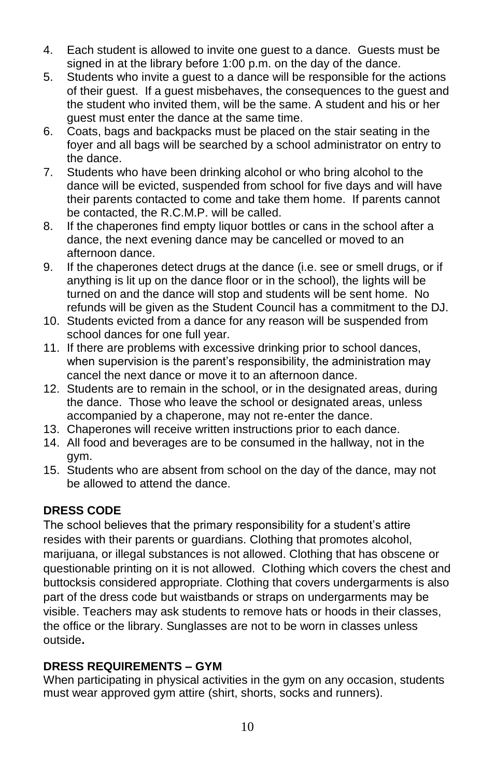- 4. Each student is allowed to invite one guest to a dance. Guests must be signed in at the library before 1:00 p.m. on the day of the dance.
- 5. Students who invite a guest to a dance will be responsible for the actions of their guest. If a guest misbehaves, the consequences to the guest and the student who invited them, will be the same. A student and his or her guest must enter the dance at the same time.
- 6. Coats, bags and backpacks must be placed on the stair seating in the foyer and all bags will be searched by a school administrator on entry to the dance.
- 7. Students who have been drinking alcohol or who bring alcohol to the dance will be evicted, suspended from school for five days and will have their parents contacted to come and take them home. If parents cannot be contacted, the R.C.M.P. will be called.
- 8. If the chaperones find empty liquor bottles or cans in the school after a dance, the next evening dance may be cancelled or moved to an afternoon dance.
- 9. If the chaperones detect drugs at the dance (i.e. see or smell drugs, or if anything is lit up on the dance floor or in the school), the lights will be turned on and the dance will stop and students will be sent home. No refunds will be given as the Student Council has a commitment to the DJ.
- 10. Students evicted from a dance for any reason will be suspended from school dances for one full year.
- 11. If there are problems with excessive drinking prior to school dances, when supervision is the parent's responsibility, the administration may cancel the next dance or move it to an afternoon dance.
- 12. Students are to remain in the school, or in the designated areas, during the dance. Those who leave the school or designated areas, unless accompanied by a chaperone, may not re-enter the dance.
- 13. Chaperones will receive written instructions prior to each dance.
- 14. All food and beverages are to be consumed in the hallway, not in the gym.
- 15. Students who are absent from school on the day of the dance, may not be allowed to attend the dance.

## **DRESS CODE**

The school believes that the primary responsibility for a student's attire resides with their parents or guardians. Clothing that promotes alcohol, marijuana, or illegal substances is not allowed. Clothing that has obscene or questionable printing on it is not allowed. Clothing which covers the chest and buttocksis considered appropriate. Clothing that covers undergarments is also part of the dress code but waistbands or straps on undergarments may be visible. Teachers may ask students to remove hats or hoods in their classes, the office or the library. Sunglasses are not to be worn in classes unless outside**.**

## **DRESS REQUIREMENTS – GYM**

When participating in physical activities in the gym on any occasion, students must wear approved gym attire (shirt, shorts, socks and runners).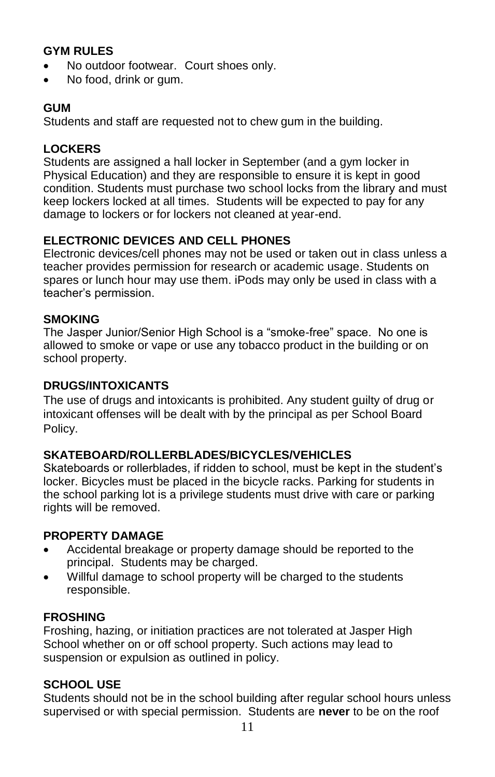### **GYM RULES**

- No outdoor footwear. Court shoes only.
- No food, drink or gum.

#### **GUM**

Students and staff are requested not to chew gum in the building.

#### **LOCKERS**

Students are assigned a hall locker in September (and a gym locker in Physical Education) and they are responsible to ensure it is kept in good condition. Students must purchase two school locks from the library and must keep lockers locked at all times. Students will be expected to pay for any damage to lockers or for lockers not cleaned at year-end.

### **ELECTRONIC DEVICES AND CELL PHONES**

Electronic devices/cell phones may not be used or taken out in class unless a teacher provides permission for research or academic usage. Students on spares or lunch hour may use them. iPods may only be used in class with a teacher's permission.

#### **SMOKING**

The Jasper Junior/Senior High School is a "smoke-free" space. No one is allowed to smoke or vape or use any tobacco product in the building or on school property.

#### **DRUGS/INTOXICANTS**

The use of drugs and intoxicants is prohibited. Any student guilty of drug or intoxicant offenses will be dealt with by the principal as per School Board Policy.

#### **SKATEBOARD/ROLLERBLADES/BICYCLES/VEHICLES**

Skateboards or rollerblades, if ridden to school, must be kept in the student's locker. Bicycles must be placed in the bicycle racks. Parking for students in the school parking lot is a privilege students must drive with care or parking rights will be removed.

#### **PROPERTY DAMAGE**

- Accidental breakage or property damage should be reported to the principal. Students may be charged.
- Willful damage to school property will be charged to the students responsible.

#### **FROSHING**

Froshing, hazing, or initiation practices are not tolerated at Jasper High School whether on or off school property. Such actions may lead to suspension or expulsion as outlined in policy.

#### **SCHOOL USE**

Students should not be in the school building after regular school hours unless supervised or with special permission. Students are **never** to be on the roof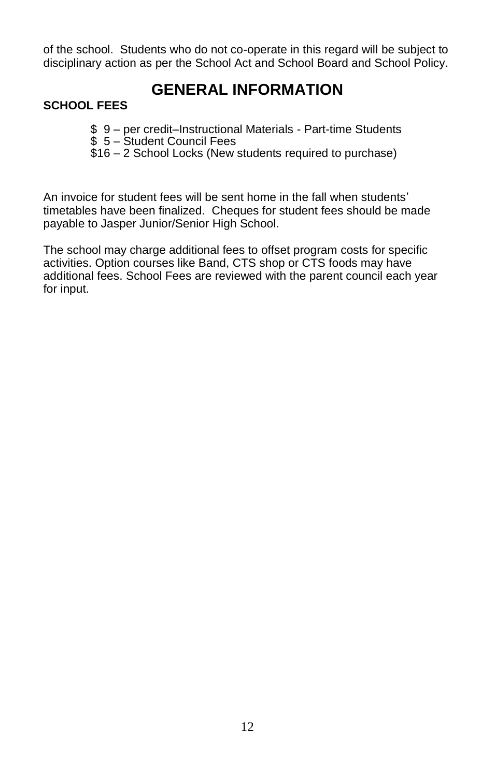of the school. Students who do not co-operate in this regard will be subject to disciplinary action as per the School Act and School Board and School Policy.

## **GENERAL INFORMATION**

#### **SCHOOL FEES**

- \$ 9 per credit–Instructional Materials Part-time Students
- \$ 5 Student Council Fees
- \$16 2 School Locks (New students required to purchase)

An invoice for student fees will be sent home in the fall when students' timetables have been finalized. Cheques for student fees should be made payable to Jasper Junior/Senior High School.

The school may charge additional fees to offset program costs for specific activities. Option courses like Band, CTS shop or CTS foods may have additional fees. School Fees are reviewed with the parent council each year for input.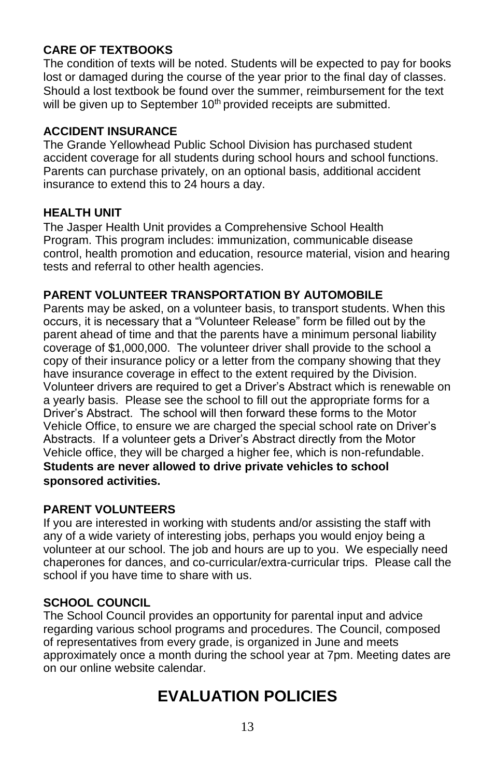### **CARE OF TEXTBOOKS**

The condition of texts will be noted. Students will be expected to pay for books lost or damaged during the course of the year prior to the final day of classes. Should a lost textbook be found over the summer, reimbursement for the text will be given up to September 10<sup>th</sup> provided receipts are submitted.

#### **ACCIDENT INSURANCE**

The Grande Yellowhead Public School Division has purchased student accident coverage for all students during school hours and school functions. Parents can purchase privately, on an optional basis, additional accident insurance to extend this to 24 hours a day.

#### **HEALTH UNIT**

The Jasper Health Unit provides a Comprehensive School Health Program. This program includes: immunization, communicable disease control, health promotion and education, resource material, vision and hearing tests and referral to other health agencies.

#### **PARENT VOLUNTEER TRANSPORTATION BY AUTOMOBILE**

Parents may be asked, on a volunteer basis, to transport students. When this occurs, it is necessary that a "Volunteer Release" form be filled out by the parent ahead of time and that the parents have a minimum personal liability coverage of \$1,000,000. The volunteer driver shall provide to the school a copy of their insurance policy or a letter from the company showing that they have insurance coverage in effect to the extent required by the Division. Volunteer drivers are required to get a Driver's Abstract which is renewable on a yearly basis. Please see the school to fill out the appropriate forms for a Driver's Abstract. The school will then forward these forms to the Motor Vehicle Office, to ensure we are charged the special school rate on Driver's Abstracts. If a volunteer gets a Driver's Abstract directly from the Motor Vehicle office, they will be charged a higher fee, which is non-refundable. **Students are never allowed to drive private vehicles to school sponsored activities.**

#### **PARENT VOLUNTEERS**

If you are interested in working with students and/or assisting the staff with any of a wide variety of interesting jobs, perhaps you would enjoy being a volunteer at our school. The job and hours are up to you. We especially need chaperones for dances, and co-curricular/extra-curricular trips. Please call the school if you have time to share with us.

#### **SCHOOL COUNCIL**

The School Council provides an opportunity for parental input and advice regarding various school programs and procedures. The Council, composed of representatives from every grade, is organized in June and meets approximately once a month during the school year at 7pm. Meeting dates are on our online website calendar.

## **EVALUATION POLICIES**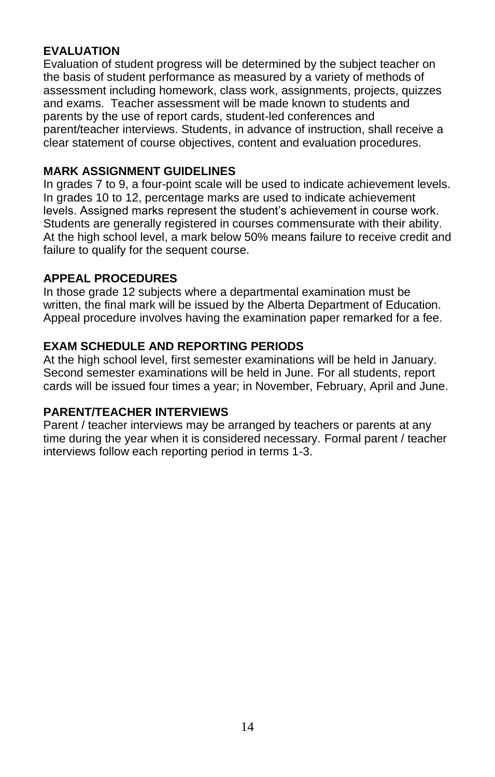#### **EVALUATION**

Evaluation of student progress will be determined by the subject teacher on the basis of student performance as measured by a variety of methods of assessment including homework, class work, assignments, projects, quizzes and exams. Teacher assessment will be made known to students and parents by the use of report cards, student-led conferences and parent/teacher interviews. Students, in advance of instruction, shall receive a clear statement of course objectives, content and evaluation procedures.

#### **MARK ASSIGNMENT GUIDELINES**

In grades 7 to 9, a four-point scale will be used to indicate achievement levels. In grades 10 to 12, percentage marks are used to indicate achievement levels. Assigned marks represent the student's achievement in course work. Students are generally registered in courses commensurate with their ability. At the high school level, a mark below 50% means failure to receive credit and failure to qualify for the sequent course.

#### **APPEAL PROCEDURES**

In those grade 12 subjects where a departmental examination must be written, the final mark will be issued by the Alberta Department of Education. Appeal procedure involves having the examination paper remarked for a fee.

#### **EXAM SCHEDULE AND REPORTING PERIODS**

At the high school level, first semester examinations will be held in January. Second semester examinations will be held in June. For all students, report cards will be issued four times a year; in November, February, April and June.

### **PARENT/TEACHER INTERVIEWS**

Parent / teacher interviews may be arranged by teachers or parents at any time during the year when it is considered necessary. Formal parent / teacher interviews follow each reporting period in terms 1-3.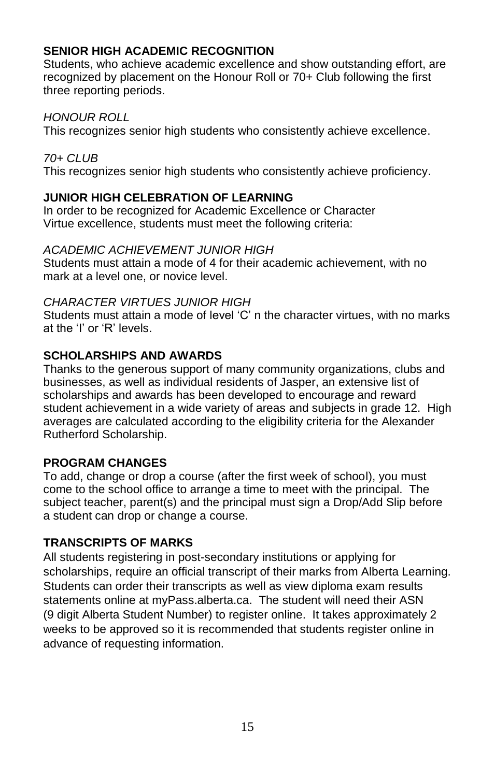## **SENIOR HIGH ACADEMIC RECOGNITION**

Students, who achieve academic excellence and show outstanding effort, are recognized by placement on the Honour Roll or 70+ Club following the first three reporting periods.

#### *HONOUR ROLL*

This recognizes senior high students who consistently achieve excellence.

#### *70+ CLUB*

This recognizes senior high students who consistently achieve proficiency.

#### **JUNIOR HIGH CELEBRATION OF LEARNING**

In order to be recognized for Academic Excellence or Character Virtue excellence, students must meet the following criteria:

#### *ACADEMIC ACHIEVEMENT JUNIOR HIGH*

Students must attain a mode of 4 for their academic achievement, with no mark at a level one, or novice level.

#### *CHARACTER VIRTUES JUNIOR HIGH*

Students must attain a mode of level 'C' n the character virtues, with no marks at the 'I' or 'R' levels.

#### **SCHOLARSHIPS AND AWARDS**

Thanks to the generous support of many community organizations, clubs and businesses, as well as individual residents of Jasper, an extensive list of scholarships and awards has been developed to encourage and reward student achievement in a wide variety of areas and subjects in grade 12. High averages are calculated according to the eligibility criteria for the Alexander Rutherford Scholarship.

#### **PROGRAM CHANGES**

To add, change or drop a course (after the first week of school), you must come to the school office to arrange a time to meet with the principal. The subject teacher, parent(s) and the principal must sign a Drop/Add Slip before a student can drop or change a course.

#### **TRANSCRIPTS OF MARKS**

All students registering in post-secondary institutions or applying for scholarships, require an official transcript of their marks from Alberta Learning. Students can order their transcripts as well as view diploma exam results statements online at myPass.alberta.ca. The student will need their ASN (9 digit Alberta Student Number) to register online. It takes approximately 2 weeks to be approved so it is recommended that students register online in advance of requesting information.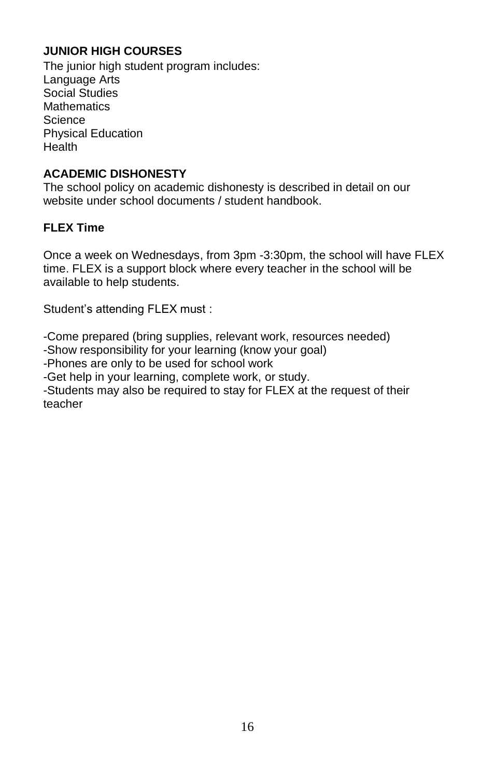## **JUNIOR HIGH COURSES**

The junior high student program includes: Language Arts Social Studies **Mathematics** Science Physical Education **Health** 

#### **ACADEMIC DISHONESTY**

The school policy on academic dishonesty is described in detail on our website under school documents / student handbook.

#### **FLEX Time**

Once a week on Wednesdays, from 3pm -3:30pm, the school will have FLEX time. FLEX is a support block where every teacher in the school will be available to help students.

Student's attending FLEX must :

-Come prepared (bring supplies, relevant work, resources needed)

-Show responsibility for your learning (know your goal)

-Phones are only to be used for school work

-Get help in your learning, complete work, or study.

-Students may also be required to stay for FLEX at the request of their teacher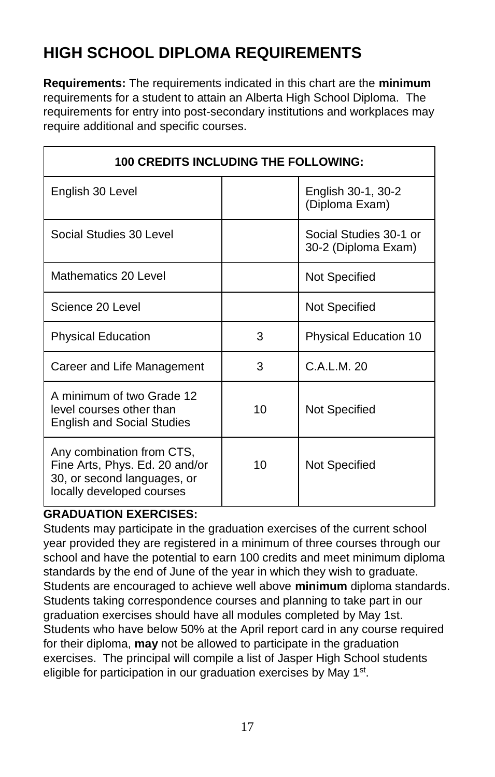# **HIGH SCHOOL DIPLOMA REQUIREMENTS**

**Requirements:** The requirements indicated in this chart are the **minimum**  requirements for a student to attain an Alberta High School Diploma. The requirements for entry into post-secondary institutions and workplaces may require additional and specific courses.

| <b>100 CREDITS INCLUDING THE FOLLOWING:</b>                                                                             |    |                                               |  |  |  |  |
|-------------------------------------------------------------------------------------------------------------------------|----|-----------------------------------------------|--|--|--|--|
| English 30 Level                                                                                                        |    | English 30-1, 30-2<br>(Diploma Exam)          |  |  |  |  |
| Social Studies 30 Level                                                                                                 |    | Social Studies 30-1 or<br>30-2 (Diploma Exam) |  |  |  |  |
| Mathematics 20 Level                                                                                                    |    | Not Specified                                 |  |  |  |  |
| Science 20 Level                                                                                                        |    | Not Specified                                 |  |  |  |  |
| <b>Physical Education</b>                                                                                               | 3  | <b>Physical Education 10</b>                  |  |  |  |  |
| Career and Life Management                                                                                              | 3  | C.A.L.M. 20                                   |  |  |  |  |
| A minimum of two Grade 12<br>level courses other than<br><b>English and Social Studies</b>                              | 10 | Not Specified                                 |  |  |  |  |
| Any combination from CTS,<br>Fine Arts, Phys. Ed. 20 and/or<br>30, or second languages, or<br>locally developed courses | 10 | Not Specified                                 |  |  |  |  |

## **GRADUATION EXERCISES:**

Students may participate in the graduation exercises of the current school year provided they are registered in a minimum of three courses through our school and have the potential to earn 100 credits and meet minimum diploma standards by the end of June of the year in which they wish to graduate. Students are encouraged to achieve well above **minimum** diploma standards. Students taking correspondence courses and planning to take part in our graduation exercises should have all modules completed by May 1st. Students who have below 50% at the April report card in any course required for their diploma, **may** not be allowed to participate in the graduation exercises. The principal will compile a list of Jasper High School students eligible for participation in our graduation exercises by May 1<sup>st</sup>.